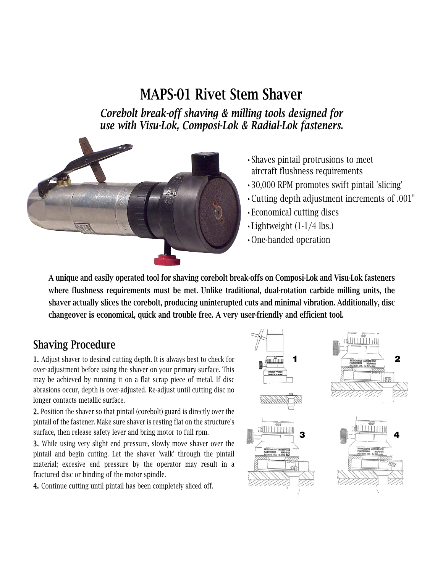## MAPS-01 Rivet Stem Shaver

*Corebolt break-off shaving & milling tools designed for use with Visu-Lok, Composi-Lok & Radial-Lok fasteners.*



- •Shaves pintail protrusions to meet aircraft flushness requirements
- •30,000 RPM promotes swift pintail 'slicing'
- •Cutting depth adjustment increments of .001"
- •Economical cutting discs
- •Lightweight (1-1/4 lbs.)
- •One-handed operation

A unique and easily operated tool for shaving corebolt break-offs on Composi-Lok and Visu-Lok fasteners where flushness requirements must be met. Unlike traditional, dual-rotation carbide milling units, the shaver actually slices the corebolt, producing uninterupted cuts and minimal vibration. Additionally, disc changeover is economical, quick and trouble free. A very user-friendly and efficient tool.

#### Shaving Procedure

1. Adjust shaver to desired cutting depth. It is always best to check for over-adjustment before using the shaver on your primary surface. This may be achieved by running it on a flat scrap piece of metal. If disc abrasions occur, depth is over-adjusted. Re-adjust until cutting disc no longer contacts metallic surface.

2. Position the shaver so that pintail (corebolt) guard is directly over the pintail of the fastener. Make sure shaver is resting flat on the structure's surface, then release safety lever and bring motor to full rpm.

3. While using very slight end pressure, slowly move shaver over the pintail and begin cutting. Let the shaver 'walk' through the pintail material; excesive end pressure by the operator may result in a fractured disc or binding of the motor spindle.

4. Continue cutting until pintail has been completely sliced off.